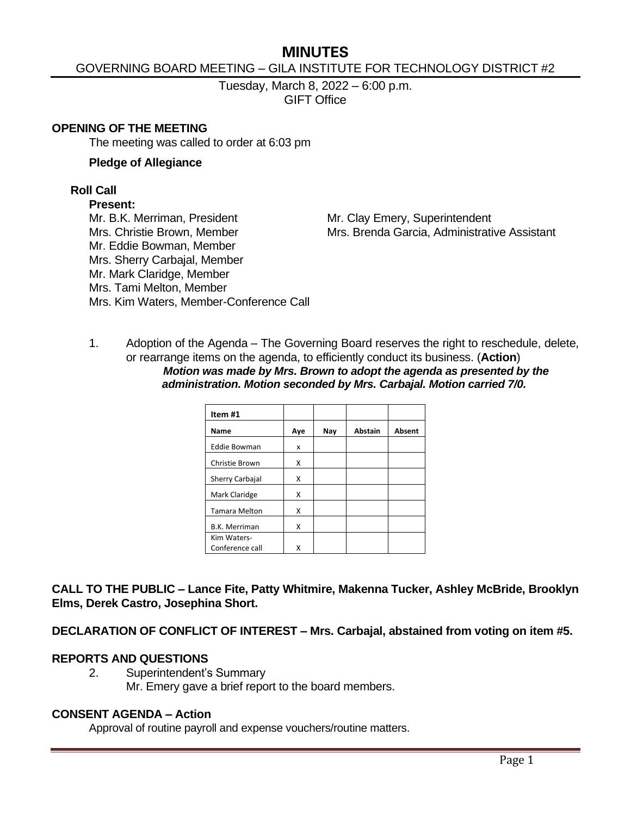# **MINUTES**

# GOVERNING BOARD MEETING – GILA INSTITUTE FOR TECHNOLOGY DISTRICT #2

Tuesday, March 8, 2022 – 6:00 p.m. GIFT Office

#### **OPENING OF THE MEETING**

The meeting was called to order at 6:03 pm

#### **Pledge of Allegiance**

#### **Roll Call**

#### **Present:**

Mr. B.K. Merriman, President Mr. Clay Emery, Superintendent Mr. Eddie Bowman, Member Mrs. Sherry Carbajal, Member Mr. Mark Claridge, Member Mrs. Tami Melton, Member Mrs. Kim Waters, Member-Conference Call

Mrs. Christie Brown, Member Mrs. Brenda Garcia, Administrative Assistant

1. Adoption of the Agenda – The Governing Board reserves the right to reschedule, delete, or rearrange items on the agenda, to efficiently conduct its business. (**Action**) *Motion was made by Mrs. Brown to adopt the agenda as presented by the administration. Motion seconded by Mrs. Carbajal. Motion carried 7/0.*

| Item #1              |     |     |                |               |
|----------------------|-----|-----|----------------|---------------|
| Name                 | Aye | Nay | <b>Abstain</b> | <b>Absent</b> |
| <b>Eddie Bowman</b>  | x   |     |                |               |
| Christie Brown       | X   |     |                |               |
| Sherry Carbajal      | x   |     |                |               |
| Mark Claridge        | x   |     |                |               |
| <b>Tamara Melton</b> | x   |     |                |               |
| <b>B.K. Merriman</b> | X   |     |                |               |
| Kim Waters-          |     |     |                |               |
| Conference call      | x   |     |                |               |

**CALL TO THE PUBLIC – Lance Fite, Patty Whitmire, Makenna Tucker, Ashley McBride, Brooklyn Elms, Derek Castro, Josephina Short.**

**DECLARATION OF CONFLICT OF INTEREST – Mrs. Carbajal, abstained from voting on item #5.**

#### **REPORTS AND QUESTIONS**

2. Superintendent's Summary Mr. Emery gave a brief report to the board members.

#### **CONSENT AGENDA – Action**

Approval of routine payroll and expense vouchers/routine matters.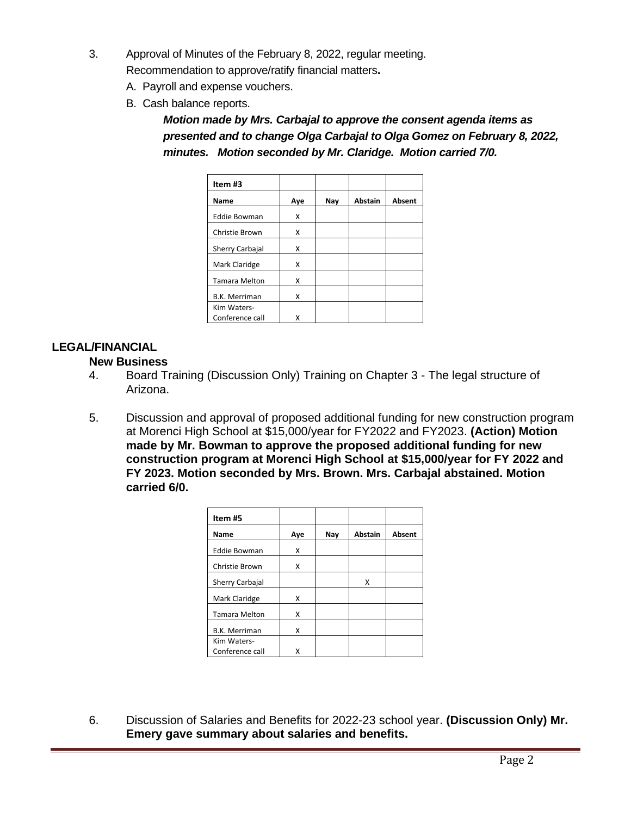- 3. Approval of Minutes of the February 8, 2022, regular meeting. Recommendation to approve/ratify financial matters**.**
	- A. Payroll and expense vouchers.
	- B. Cash balance reports.

*Motion made by Mrs. Carbajal to approve the consent agenda items as presented and to change Olga Carbajal to Olga Gomez on February 8, 2022, minutes. Motion seconded by Mr. Claridge. Motion carried 7/0.*

| Item#3               |     |     |                |        |
|----------------------|-----|-----|----------------|--------|
| Name                 | Aye | Nay | <b>Abstain</b> | Absent |
| <b>Eddie Bowman</b>  | Χ   |     |                |        |
| Christie Brown       | x   |     |                |        |
| Sherry Carbajal      | x   |     |                |        |
| Mark Claridge        | x   |     |                |        |
| <b>Tamara Melton</b> | x   |     |                |        |
| <b>B.K. Merriman</b> | x   |     |                |        |
| Kim Waters-          |     |     |                |        |
| Conference call      | x   |     |                |        |

# **LEGAL/FINANCIAL**

# **New Business**

- 4. Board Training (Discussion Only) Training on Chapter 3 The legal structure of Arizona.
- 5. Discussion and approval of proposed additional funding for new construction program at Morenci High School at \$15,000/year for FY2022 and FY2023. **(Action) Motion made by Mr. Bowman to approve the proposed additional funding for new construction program at Morenci High School at \$15,000/year for FY 2022 and FY 2023. Motion seconded by Mrs. Brown. Mrs. Carbajal abstained. Motion carried 6/0.**

| Item #5              |     |     |                |        |
|----------------------|-----|-----|----------------|--------|
| Name                 | Aye | Nay | <b>Abstain</b> | Absent |
| <b>Eddie Bowman</b>  | x   |     |                |        |
| Christie Brown       | x   |     |                |        |
| Sherry Carbajal      |     |     | х              |        |
| Mark Claridge        | x   |     |                |        |
| <b>Tamara Melton</b> | x   |     |                |        |
| <b>B.K. Merriman</b> | Χ   |     |                |        |
| Kim Waters-          |     |     |                |        |
| Conference call      | x   |     |                |        |

6. Discussion of Salaries and Benefits for 2022-23 school year. **(Discussion Only) Mr. Emery gave summary about salaries and benefits.**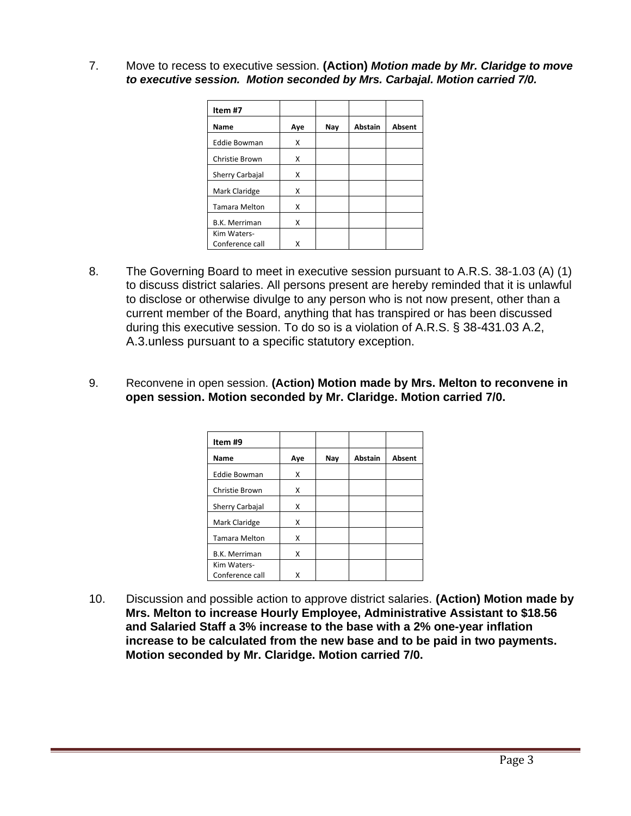7. Move to recess to executive session. **(Action)** *Motion made by Mr. Claridge to move to executive session. Motion seconded by Mrs. Carbajal. Motion carried 7/0.*

| Item#7               |     |     |                |        |
|----------------------|-----|-----|----------------|--------|
| Name                 | Aye | Nay | <b>Abstain</b> | Absent |
| <b>Eddie Bowman</b>  | x   |     |                |        |
| Christie Brown       | x   |     |                |        |
| Sherry Carbajal      | x   |     |                |        |
| Mark Claridge        | x   |     |                |        |
| <b>Tamara Melton</b> | x   |     |                |        |
| <b>B.K. Merriman</b> | x   |     |                |        |
| Kim Waters-          |     |     |                |        |
| Conference call      |     |     |                |        |

- 8. The Governing Board to meet in executive session pursuant to A.R.S. 38-1.03 (A) (1) to discuss district salaries. All persons present are hereby reminded that it is unlawful to disclose or otherwise divulge to any person who is not now present, other than a current member of the Board, anything that has transpired or has been discussed during this executive session. To do so is a violation of A.R.S. § 38-431.03 A.2, A.3.unless pursuant to a specific statutory exception.
- 9. Reconvene in open session. **(Action) Motion made by Mrs. Melton to reconvene in open session. Motion seconded by Mr. Claridge. Motion carried 7/0.**

| Item #9              |     |     |                |        |
|----------------------|-----|-----|----------------|--------|
| Name                 | Aye | Nay | <b>Abstain</b> | Absent |
| <b>Eddie Bowman</b>  | x   |     |                |        |
| Christie Brown       | x   |     |                |        |
| Sherry Carbajal      | X   |     |                |        |
| Mark Claridge        | x   |     |                |        |
| <b>Tamara Melton</b> | x   |     |                |        |
| <b>B.K. Merriman</b> | X   |     |                |        |
| Kim Waters-          |     |     |                |        |
| Conference call      | x   |     |                |        |

10. Discussion and possible action to approve district salaries. **(Action) Motion made by Mrs. Melton to increase Hourly Employee, Administrative Assistant to \$18.56 and Salaried Staff a 3% increase to the base with a 2% one-year inflation increase to be calculated from the new base and to be paid in two payments. Motion seconded by Mr. Claridge. Motion carried 7/0.**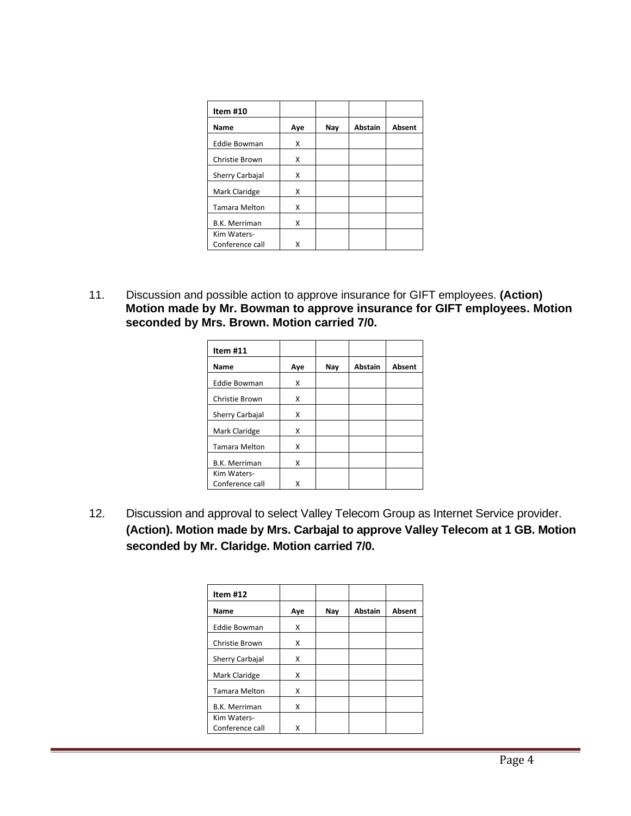| Item #10             |     |     |                |        |
|----------------------|-----|-----|----------------|--------|
| Name                 | Aye | Nay | <b>Abstain</b> | Absent |
| <b>Eddie Bowman</b>  | x   |     |                |        |
| Christie Brown       | x   |     |                |        |
| Sherry Carbajal      | x   |     |                |        |
| Mark Claridge        | x   |     |                |        |
| <b>Tamara Melton</b> | x   |     |                |        |
| <b>B.K. Merriman</b> | x   |     |                |        |
| Kim Waters-          |     |     |                |        |
| Conference call      | x   |     |                |        |

11. Discussion and possible action to approve insurance for GIFT employees. **(Action) Motion made by Mr. Bowman to approve insurance for GIFT employees. Motion seconded by Mrs. Brown. Motion carried 7/0.**

| Item #11             |     |     |                |        |
|----------------------|-----|-----|----------------|--------|
| Name                 | Aye | Nay | <b>Abstain</b> | Absent |
| <b>Eddie Bowman</b>  | X   |     |                |        |
| Christie Brown       | x   |     |                |        |
| Sherry Carbajal      | x   |     |                |        |
| Mark Claridge        | x   |     |                |        |
| <b>Tamara Melton</b> | Χ   |     |                |        |
| <b>B.K. Merriman</b> | x   |     |                |        |
| Kim Waters-          |     |     |                |        |
| Conference call      | x   |     |                |        |

12. Discussion and approval to select Valley Telecom Group as Internet Service provider. **(Action). Motion made by Mrs. Carbajal to approve Valley Telecom at 1 GB. Motion seconded by Mr. Claridge. Motion carried 7/0.**

| Item $#12$           |     |     |                |        |
|----------------------|-----|-----|----------------|--------|
| Name                 | Aye | Nay | <b>Abstain</b> | Absent |
| <b>Eddie Bowman</b>  | x   |     |                |        |
| Christie Brown       | x   |     |                |        |
| Sherry Carbajal      | x   |     |                |        |
| Mark Claridge        | x   |     |                |        |
| <b>Tamara Melton</b> | x   |     |                |        |
| <b>B.K. Merriman</b> | x   |     |                |        |
| Kim Waters-          |     |     |                |        |
| Conference call      | x   |     |                |        |